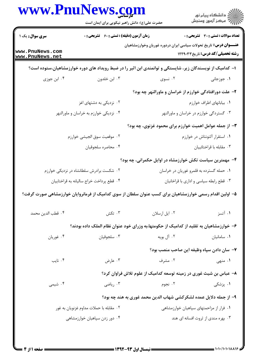|                                          | حضرت علی(ع): دانش راهبر نیکویی برای ایمان است                                                             |                                                                           | ڪ دانشڪاه پيام نور<br>ر∕ = مرڪز آزمون وسنڊش  |
|------------------------------------------|-----------------------------------------------------------------------------------------------------------|---------------------------------------------------------------------------|----------------------------------------------|
| <b>سری سوال :</b> یک ۱                   | <b>زمان آزمون (دقیقه) : تستی : 60 ٪ تشریحی : 0</b>                                                        |                                                                           | <b>تعداد سوالات : تستي : 30 ٪ تشريحي : 0</b> |
| www.PnuNews.com<br>www.PnuNews.net       |                                                                                                           | <b>عنـــوان درس:</b> تاریخ تحولات سیاسی ایران دردوره غوریان وخوارزمشاهیان | <b>رشته تحصیلی/کد درس:</b> تاریخ ۱۲۲۹۰۳۳     |
|                                          | ۱– کدامیک از نویسندگان زیر، شایستگی و توانمندی ابن اثیر را در ضبط رویداد های دوره خوارزمشاهیان،ستوده است؟ |                                                                           |                                              |
| ۰۴ ابن جوزی                              | ۰۳ ابن خلدون                                                                                              | ۰۲ نسوی                                                                   | ۰۱ جوزجاني                                   |
|                                          |                                                                                                           | ۲– علت دورافتادگی خوارزم از خراسان و ماورالنهر چه بود؟                    |                                              |
|                                          | ۰۲ نزدیکی به دشتهای اغز                                                                                   |                                                                           | ٠١. بيابانهاى اطراف خوارزم                   |
|                                          | ۰۴ نزدیکی خوارزم به خراسان و ماورالنهر                                                                    |                                                                           | ۰۳ گستردگی خوارزم در خراسان و ماورالنهر      |
|                                          |                                                                                                           | ۳- از جمله عوامل اهمیت خوارزم برای محمود غزنوی، چه بود؟                   |                                              |
|                                          | ٢. موقعيت سوق الجيشي خوارزم                                                                               |                                                                           | ٠١. استقرار آلتونتاش در خوارزم               |
|                                          | ۰۴ محاصره سلجوقيان                                                                                        |                                                                           | ۰۳ مقابله با قراختائييان                     |
|                                          |                                                                                                           | ۴- مهمترین سیاست تکش خوارزمشاه در اوایل حکمرانی، چه بود؟                  |                                              |
|                                          | ۰۲ شکست برادرش سلطانشاه در نزدیکی خوارزم                                                                  |                                                                           | ۰۱ حمله گسترده به قلمرو غوریان در خراسان     |
| ۰۴ قطع پرداخت خراج ساليانه به قراختاييان |                                                                                                           | ۰۳ قطع رابطه سیاسی و اداری با قراخانیان                                   |                                              |
|                                          | ۵– اولین اقدام رسمی خوارزمشاهیان برای کسب عنوان سلطان از سوی کدامیک از فرمانروایان خوارزمشاهی صورت گرفت؟  |                                                                           |                                              |
| ۰۴ قطب الدين محمد                        | ۰۳ تکش                                                                                                    | ۰۲ ایل ارسلان                                                             | ۰۱ آتسز                                      |
|                                          | ۶– خوارزمشاهیان به تقلید از کدامیک از حکومتها،به وزرای خود عنوان نظام الملک داده بودند؟                   |                                                                           |                                              |
| ۰۴ غوريان                                | ۰۳ سلجوقيان                                                                                               | ۰۲ آل بویه                                                                | ٠١ سامانيان                                  |
|                                          |                                                                                                           | ٧–  سان دادن سپاه وظیفه این صاحب منصب بود؟                                |                                              |
| ۰۴ نایب                                  | ۰۳ عارض                                                                                                   | ۰۲ مشرف                                                                   | ۰۱ منهی                                      |
|                                          |                                                                                                           | ۸– عباس بن شیث غوری در زمینه توسعه کدامیک از علوم تلاش فراوان کرد؟        |                                              |
| ۰۴ شیمی                                  | ۰۳ ریاضی                                                                                                  | ۰۲ نجوم                                                                   | ۰۱ پزشکی                                     |
|                                          |                                                                                                           | ۹– از جمله دلایل عمده لشکرکشی شهاب الدین محمد غوری به هند چه بود؟         |                                              |
|                                          | ۰۲ مقابله با حملات مداوم غزنويان به غور                                                                   |                                                                           | ٠١ فرار از مزاحمتهاى سپاهيان خوارزمشاهي      |
|                                          | ۰۴ دور زدن سپاهیان خوارزمشاهی                                                                             |                                                                           | ۰۳ بهره مندی از ثروت افسانه ای هند           |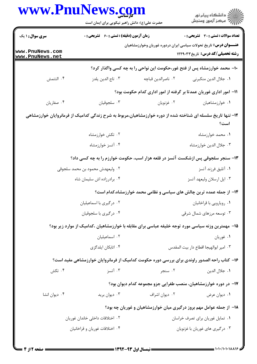|                                    | حضرت علی(ع): دانش راهبر نیکویی برای ایمان است                                                               |                                                                                                                       | ڪ دانشڪاه پيا <sub>م</sub> نور<br>∕7 مرڪز آزمون وسنڊش                                              |  |  |
|------------------------------------|-------------------------------------------------------------------------------------------------------------|-----------------------------------------------------------------------------------------------------------------------|----------------------------------------------------------------------------------------------------|--|--|
| <b>سری سوال : ۱ یک</b>             | <b>زمان آزمون (دقیقه) : تستی : 60 ٪ تشریحی : 0</b>                                                          |                                                                                                                       | <b>تعداد سوالات : تستی : 30 ٪ تشریحی : 0</b>                                                       |  |  |
| www.PnuNews.com<br>www.PnuNews.net |                                                                                                             | <b>عنـــوان درس:</b> تاریخ تحولات سیاسی ایران دردوره غوریان وخوارزمشاهیان<br><b>رشته تحصیلی/کد درس:</b> تاریخ ۱۲۲۹۰۳۳ |                                                                                                    |  |  |
|                                    |                                                                                                             |                                                                                                                       | ∙۱− محمد خوارزمشاه پس از فتح غور،حکومت این نواحی را به چه کسی واگذار کرد؟                          |  |  |
| ۰۴ التتمش                          | ۰۳ تاج الدين يلدز                                                                                           | ٠٢ ناصرالدين قباچه                                                                                                    | ٠١. جلال الدين منكبرني                                                                             |  |  |
|                                    |                                                                                                             |                                                                                                                       | 11– امور اداری غوریان عمدتا بر گرفته از امور اداری کدام حکومت بود؟                                 |  |  |
| ۰۴ صفاریان                         | ۰۳ سلجوقيان                                                                                                 | ۰۲ غزنويان                                                                                                            | ٠١ خوارزمشاهيان                                                                                    |  |  |
|                                    | ۱۲– تنها تاریخ سلسله ای شناخته شده از دوره خوارزمشاهیان،مربوط به شرح زندگی کدامیک از فرمانروایان خوارزمشاهی |                                                                                                                       |                                                                                                    |  |  |
|                                    |                                                                                                             |                                                                                                                       | است؟                                                                                               |  |  |
|                                    | ۰۲ تکش خوارزمشاه                                                                                            |                                                                                                                       | ۰۱ محمد خوارزمشاه                                                                                  |  |  |
|                                    | ۰۴ آتسز خوارزمشاه                                                                                           |                                                                                                                       | ۰۳ جلال الدين خوارزمشاه                                                                            |  |  |
|                                    | ۱۳- سنجر سلجوقی پس ازشکست آتسز در قلعه هزار اسب، حکومت خوارزم را به چه کسی داد؟                             |                                                                                                                       |                                                                                                    |  |  |
|                                    | ۰۲ ولیعهدش محمود بن محمد سلجوقی                                                                             |                                                                                                                       | ۰۱ آتليق فرزند آتسز                                                                                |  |  |
|                                    | ۰۴ برادرزاده اش سلیمان شاه                                                                                  |                                                                                                                       | ۰۳ ایل ارسلان ولیعهد آتسز                                                                          |  |  |
|                                    |                                                                                                             |                                                                                                                       | ۱۴– از جمله عمده ترین چالش های سیاسی و نظامی محمد خوارزمشاه،کدام است؟                              |  |  |
|                                    | ۰۲ درگیری با اسماعیلیان                                                                                     |                                                                                                                       | ٠١ رويارويي با قراخانيان                                                                           |  |  |
|                                    | ۰۴ درگیری با سلجوقیان                                                                                       |                                                                                                                       | ۰۳ توسعه مرزهای شمال شرقی                                                                          |  |  |
|                                    |                                                                                                             |                                                                                                                       | ۱۵– مهمترین وزنه سیاسی مورد توجه خلیفه عباسی برای مقابله با خوارزمشاهیان ،کدامیک از موارد زیر بود؟ |  |  |
|                                    | ٠٢ اسماعيليان                                                                                               |                                                                                                                       | ۰۱ غوريان                                                                                          |  |  |
|                                    | ۰۴ اتابکان ایلدگزی                                                                                          |                                                                                                                       | ٠٣ امير ابوالهيجا اقطاع دار بيت المقدس                                                             |  |  |
|                                    |                                                                                                             |                                                                                                                       | ۱۶– کتاب راحه الصدور راوندی برای بررسی دوره حکومت کدامیک از فرمانروایان خوارزمشاهی مفید است؟       |  |  |
| ۰۴ تکش                             | ۰۳ آتسز                                                                                                     | ۰۲ سنجر                                                                                                               | ٠١. جلال الدين                                                                                     |  |  |
|                                    |                                                                                                             |                                                                                                                       | ۱۷– در دوره خوارزمشاهیان، منصب طغرایی جزو مجموعه کدام دیوان بود؟                                   |  |  |
| ۰۴ دیوان انشا                      | ۰۳ دیوان برید                                                                                               | ۰۲ دیوان اشراف                                                                                                        | ۰۱ دیوان عرض                                                                                       |  |  |
|                                    |                                                                                                             |                                                                                                                       | ۱۸– از جمله عوامل مهم بروز درگیری میان خوارزمشاهیان و غوریان چه بود؟                               |  |  |
|                                    | ۰۲ اختلافات داخلی خاندان غوریان                                                                             |                                                                                                                       | ٠١ تمايل غوريان براي تصرف خراسان                                                                   |  |  |
|                                    | ۰۴ اختلافات غوريان و قراخانيان                                                                              |                                                                                                                       | ۰۳ درگیری های غوریان با غزنویان                                                                    |  |  |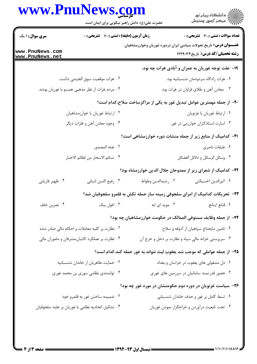|                                                 | www.PnuNews.com<br>حضرت علی(ع): دانش راهبر نیکویی برای ایمان است |                                                                             | ر<br>دانشڪاه پيام نور)<br>ا∛ مرڪز آزمون وسنڊش     |
|-------------------------------------------------|------------------------------------------------------------------|-----------------------------------------------------------------------------|---------------------------------------------------|
| <b>سری سوال : ۱ یک</b>                          | <b>زمان آزمون (دقیقه) : تستی : 60 ٪ تشریحی : 0</b>               |                                                                             | <b>تعداد سوالات : تستی : 30 ٪ تشریحی : 0</b>      |
| www.PnuNews.com<br>www.PnuNews.net              |                                                                  | <b>عنـــوان درس:</b> تاریخ تحولات سیاسی ایران دردوره غوریان وخوارزمشاهیان   | <b>رشته تحصیلی/کد درس:</b> تاریخ ۱۲۲۹۰۳۳          |
|                                                 |                                                                  |                                                                             | ۱۹- علت توجه غوریان به عمران و آبادی هرات چه بود، |
|                                                 | ٠٢ هرات موقعيت سوق الجيشي داشت.                                  |                                                                             | ۰۱ هرات زادگاه سردودمان شنسبانیه بود.             |
|                                                 | ۰۴ مردم هرات از نظر مذهبی همسو با غوریان بودند.                  |                                                                             | ۰۳ معادن آهن و طلای فراوان در هرات بود.           |
|                                                 |                                                                  | +۲- از جمله مهمترین عوامل تبدیل غور به یکی از مراکزساخت سلاح،کدام است؟      |                                                   |
|                                                 | ۰۲ ارتباط غوریان با خوارزمشاهیان                                 |                                                                             | ٠١ ارتباط غوريان با غزنويان                       |
|                                                 | ۰۴ وجود معادن آهن و فلزات ديگر                                   |                                                                             | ۰۳ اسارت استادکاران خوارزمی در غور                |
|                                                 |                                                                  | <b>۲۱</b> - کدامیک از منابع زیر از جمله منشات دوره خوارزمشاهی است؟          |                                                   |
|                                                 | ٢. نفثه المصدور                                                  |                                                                             | ٠١ طبقات ناصرى                                    |
|                                                 | ٠۴ نسائم الاسحار من لطائم الاخبار                                |                                                                             | ۰۳ وسائل الرسائل و دلائل الفضائل                  |
|                                                 |                                                                  | ۲۲– کدامیک از شعرای زیر از ممدوحان جلال الدین خوارزمشاه بود؟                |                                                   |
| ۰۴ ظهير فاريابي                                 | ٠٣ رفيع الدين لنباني                                             | ٠٢ رشيدالدين وطواط                                                          | ٠١. اثيرالدين اخسيكتي                             |
|                                                 |                                                                  | ۲۳– تحریکات کدامیک از امرای سلجوقی زمینه ساز حمله تکش به قلمرو سلجوقیان شد؟ |                                                   |
| ۰۴ نصربن خلف                                    | ۰۳ اغول بیک                                                      | ٠٢ مويد اي ابه                                                              | ٠١ قتلغ اينانج                                    |
|                                                 |                                                                  | ۲۴– از جمله وظایف مستوفی الممالک در حکومت خوارزمشاهیان چه بود؟              |                                                   |
| ۰۲ نظارت بر کلیه معاملات و احکام مالی صادر شده  |                                                                  | ۰۱ تامین مایحتاج سپاهیان از آذوقه و سلاح                                    |                                                   |
| ۰۴ نظارت بر عملکرد کاتبان،مشرفان و ماموران مالی |                                                                  | ۰۳ سرپرستی خزانه مالی سپاه و نظارت بر دخل و خرج آن                          |                                                   |
|                                                 |                                                                  | ۲۵– از جمله عواملی که موجب شد یعقوب لیث نتواند به غور حمله کند،کدام است؟    |                                                   |
| ۰۲ حمایت طاهریان از خاندان شنسبانیه             |                                                                  | ۰۱ دل مشغولی های یعقوب در خراسان و بغداد                                    |                                                   |
|                                                 | ۰۴ توانمندی نظامی سوری بن محمد غوری                              |                                                                             | ۰۳ حضور قدرتمند سامانیان در سرزمین های غوری       |
|                                                 |                                                                  | ۲۶- سیاست غزنویان در دوره دوم حکومتشان در مورد غور چه بود؟                  |                                                   |
|                                                 | ۲. ضمیمه ساختن غور به قلمرو خود                                  |                                                                             | ۰۱ تسط کامل بر غور و حذف خاندان شنسبانی           |
|                                                 | ۰۴ تشکیل اتحادیه نظامی با غوریان بر علیه سلجوقیان                |                                                                             | ۰۳ تحت تابعیت درآوردن و خراجگزار نمودن غوریان     |